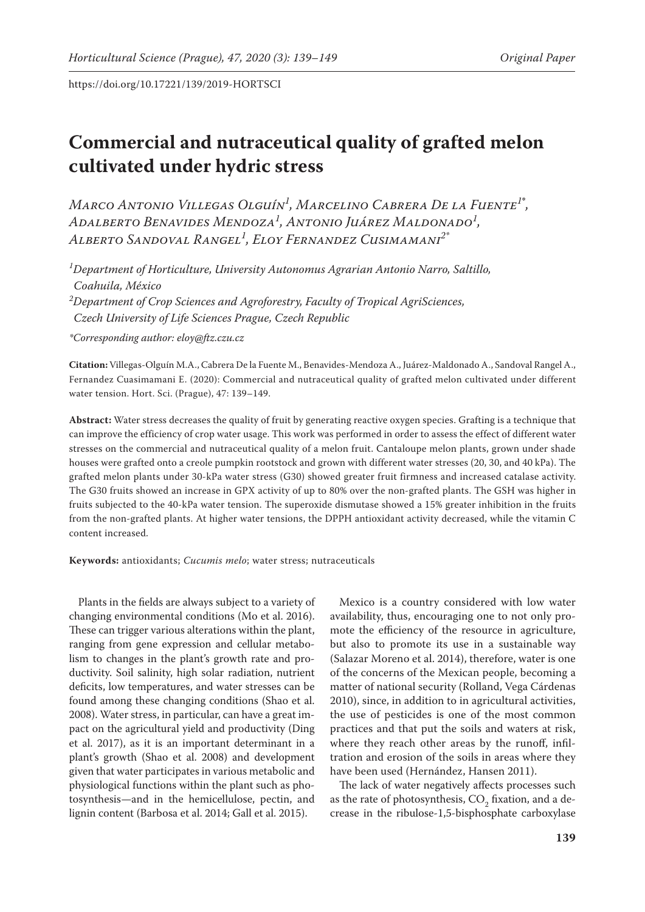# **Commercial and nutraceutical quality of grafted melon cultivated under hydric stress**

*Marco Antonio Villegas Olguín1 , Marcelino Cabrera De la Fuente1***\*** *, Adalberto Benavides Mendoza<sup>1</sup> , Antonio Juárez Maldonado<sup>1</sup> , Alberto Sandoval Rangel1 , Eloy Fernandez Cusimamani2\**

*1 Department of Horticulture, University Autonomus Agrarian Antonio Narro, Saltillo, Coahuila, México*

*2 Department of Crop Sciences and Agroforestry, Faculty of Tropical AgriSciences, Czech University of Life Sciences Prague, Czech Republic*

*\*Corresponding author: eloy@ftz.czu.cz*

**Citation:** Villegas-Olguín M.A., Cabrera De la Fuente M., Benavides-Mendoza A., Juárez-Maldonado A., Sandoval Rangel A., Fernandez Cuasimamani E. (2020): Commercial and nutraceutical quality of grafted melon cultivated under different water tension. Hort. Sci. (Prague), 47: 139–149.

**Abstract:** Water stress decreases the quality of fruit by generating reactive oxygen species. Grafting is a technique that can improve the efficiency of crop water usage. This work was performed in order to assess the effect of different water stresses on the commercial and nutraceutical quality of a melon fruit. Cantaloupe melon plants, grown under shade houses were grafted onto a creole pumpkin rootstock and grown with different water stresses (20, 30, and 40 kPa). The grafted melon plants under 30-kPa water stress (G30) showed greater fruit firmness and increased catalase activity. The G30 fruits showed an increase in GPX activity of up to 80% over the non-grafted plants. The GSH was higher in fruits subjected to the 40-kPa water tension. The superoxide dismutase showed a 15% greater inhibition in the fruits from the non-grafted plants. At higher water tensions, the DPPH antioxidant activity decreased, while the vitamin C content increased.

**Keywords:** antioxidants; *Cucumis melo*; water stress; nutraceuticals

Plants in the fields are always subject to a variety of changing environmental conditions (Mo et al. 2016). These can trigger various alterations within the plant, ranging from gene expression and cellular metabolism to changes in the plant's growth rate and productivity. Soil salinity, high solar radiation, nutrient deficits, low temperatures, and water stresses can be found among these changing conditions (Shao et al. 2008). Water stress, in particular, can have a great impact on the agricultural yield and productivity (Ding et al. 2017), as it is an important determinant in a plant's growth (Shao et al. 2008) and development given that water participates in various metabolic and physiological functions within the plant such as photosynthesis—and in the hemicellulose, pectin, and lignin content (Barbosa et al. 2014; Gall et al. 2015).

Mexico is a country considered with low water availability, thus, encouraging one to not only promote the efficiency of the resource in agriculture, but also to promote its use in a sustainable way (Salazar Moreno et al. 2014), therefore, water is one of the concerns of the Mexican people, becoming a matter of national security (Rolland, Vega Cárdenas 2010), since, in addition to in agricultural activities, the use of pesticides is one of the most common practices and that put the soils and waters at risk, where they reach other areas by the runoff, infiltration and erosion of the soils in areas where they have been used (Hernández, Hansen 2011).

The lack of water negatively affects processes such as the rate of photosynthesis,  $CO_2$  fixation, and a decrease in the ribulose-1,5-bisphosphate carboxylase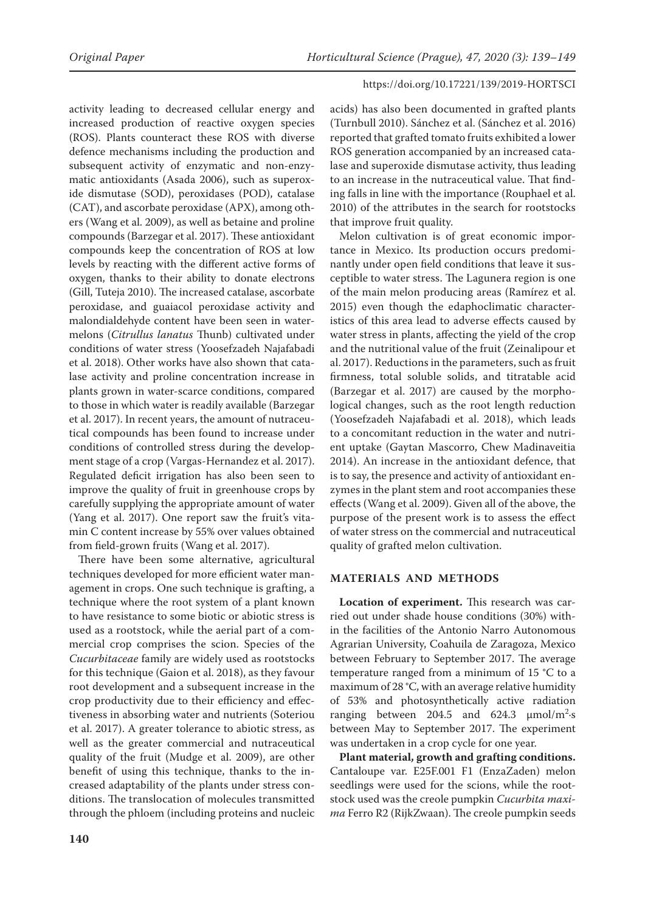activity leading to decreased cellular energy and increased production of reactive oxygen species (ROS). Plants counteract these ROS with diverse defence mechanisms including the production and subsequent activity of enzymatic and non-enzymatic antioxidants (Asada 2006), such as superoxide dismutase (SOD), peroxidases (POD), catalase (CAT), and ascorbate peroxidase (APX), among others (Wang et al. 2009), as well as betaine and proline compounds (Barzegar et al. 2017). These antioxidant compounds keep the concentration of ROS at low levels by reacting with the different active forms of oxygen, thanks to their ability to donate electrons (Gill, Tuteja 2010). The increased catalase, ascorbate peroxidase, and guaiacol peroxidase activity and malondialdehyde content have been seen in watermelons (*Citrullus lanatus* Thunb) cultivated under conditions of water stress (Yoosefzadeh Najafabadi et al. 2018). Other works have also shown that catalase activity and proline concentration increase in plants grown in water-scarce conditions, compared to those in which water is readily available (Barzegar et al. 2017). In recent years, the amount of nutraceutical compounds has been found to increase under conditions of controlled stress during the development stage of a crop (Vargas-Hernandez et al. 2017). Regulated deficit irrigation has also been seen to improve the quality of fruit in greenhouse crops by carefully supplying the appropriate amount of water (Yang et al. 2017). One report saw the fruit's vitamin C content increase by 55% over values obtained from field-grown fruits (Wang et al. 2017).

There have been some alternative, agricultural techniques developed for more efficient water management in crops. One such technique is grafting, a technique where the root system of a plant known to have resistance to some biotic or abiotic stress is used as a rootstock, while the aerial part of a commercial crop comprises the scion. Species of the *Cucurbitaceae* family are widely used as rootstocks for this technique (Gaion et al. 2018), as they favour root development and a subsequent increase in the crop productivity due to their efficiency and effectiveness in absorbing water and nutrients (Soteriou et al. 2017). A greater tolerance to abiotic stress, as well as the greater commercial and nutraceutical quality of the fruit (Mudge et al. 2009), are other benefit of using this technique, thanks to the increased adaptability of the plants under stress conditions. The translocation of molecules transmitted through the phloem (including proteins and nucleic

acids) has also been documented in grafted plants (Turnbull 2010). Sánchez et al. (Sánchez et al. 2016) reported that grafted tomato fruits exhibited a lower ROS generation accompanied by an increased catalase and superoxide dismutase activity, thus leading to an increase in the nutraceutical value. That finding falls in line with the importance (Rouphael et al. 2010) of the attributes in the search for rootstocks that improve fruit quality.

Melon cultivation is of great economic importance in Mexico. Its production occurs predominantly under open field conditions that leave it susceptible to water stress. The Lagunera region is one of the main melon producing areas (Ramírez et al. 2015) even though the edaphoclimatic characteristics of this area lead to adverse effects caused by water stress in plants, affecting the yield of the crop and the nutritional value of the fruit (Zeinalipour et al. 2017). Reductions in the parameters, such as fruit firmness, total soluble solids, and titratable acid (Barzegar et al. 2017) are caused by the morphological changes, such as the root length reduction (Yoosefzadeh Najafabadi et al. 2018), which leads to a concomitant reduction in the water and nutrient uptake (Gaytan Mascorro, Chew Madinaveitia 2014). An increase in the antioxidant defence, that is to say, the presence and activity of antioxidant enzymes in the plant stem and root accompanies these effects (Wang et al. 2009). Given all of the above, the purpose of the present work is to assess the effect of water stress on the commercial and nutraceutical quality of grafted melon cultivation.

## **MATERIALS AND METHODS**

**Location of experiment.** This research was carried out under shade house conditions (30%) within the facilities of the Antonio Narro Autonomous Agrarian University, Coahuila de Zaragoza, Mexico between February to September 2017. The average temperature ranged from a minimum of 15 °C to a maximum of 28 °C, with an average relative humidity of 53% and photosynthetically active radiation ranging between  $204.5$  and  $624.3$   $\mu$ mol/m<sup>2</sup>·s between May to September 2017. The experiment was undertaken in a crop cycle for one year.

**Plant material, growth and grafting conditions.** Cantaloupe var. E25F.001 F1 (EnzaZaden) melon seedlings were used for the scions, while the rootstock used was the creole pumpkin *Cucurbita maxima* Ferro R2 (RijkZwaan). The creole pumpkin seeds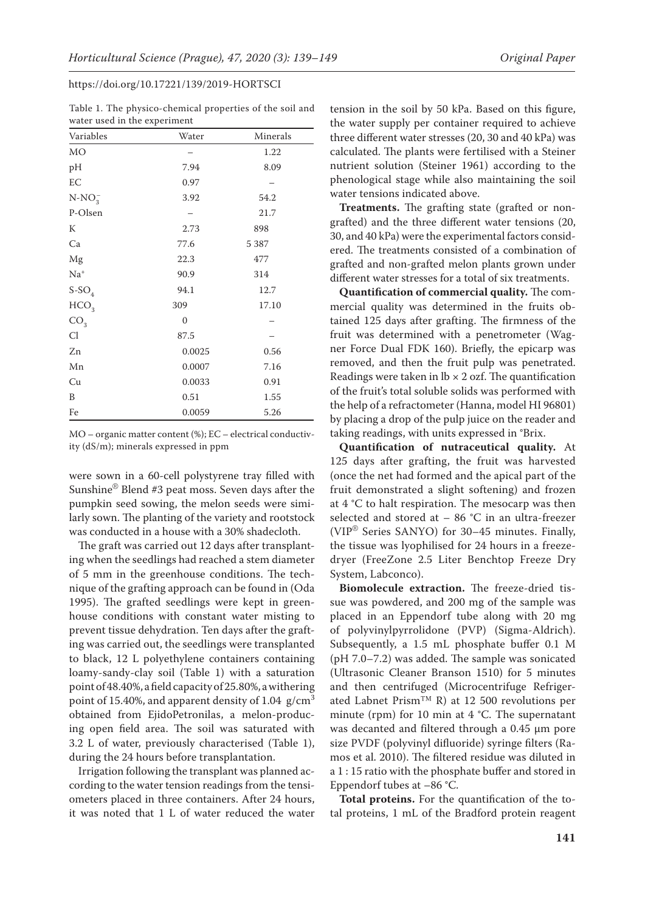| Table 1. The physico-chemical properties of the soil and |  |  |
|----------------------------------------------------------|--|--|
| water used in the experiment                             |  |  |

| Variables        | Water          | Minerals |  |
|------------------|----------------|----------|--|
| <b>MO</b>        |                | 1.22     |  |
| pH               | 7.94           | 8.09     |  |
| EC               | 0.97           |          |  |
| $N-NO_3^-$       | 3.92           | 54.2     |  |
| P-Olsen          |                | 21.7     |  |
| K                | 2.73           | 898      |  |
| Ca               | 77.6           | 5 3 8 7  |  |
| Mg               | 22.3           | 477      |  |
| $Na+$            | 90.9           | 314      |  |
| $S-SO4$          | 94.1           | 12.7     |  |
| HCO <sub>3</sub> | 309            | 17.10    |  |
| CO <sub>3</sub>  | $\overline{0}$ |          |  |
| Cl               | 87.5           |          |  |
| Zn               | 0.0025         | 0.56     |  |
| Mn               | 0.0007         | 7.16     |  |
| Cu               | 0.0033         | 0.91     |  |
| B                | 0.51           | 1.55     |  |
| Fe               | 0.0059         | 5.26     |  |

MO – organic matter content (%); EC – electrical conductivity (dS/m); minerals expressed in ppm

were sown in a 60-cell polystyrene tray filled with Sunshine® Blend #3 peat moss. Seven days after the pumpkin seed sowing, the melon seeds were similarly sown. The planting of the variety and rootstock was conducted in a house with a 30% shadecloth.

The graft was carried out 12 days after transplanting when the seedlings had reached a stem diameter of 5 mm in the greenhouse conditions. The technique of the grafting approach can be found in (Oda 1995). The grafted seedlings were kept in greenhouse conditions with constant water misting to prevent tissue dehydration. Ten days after the grafting was carried out, the seedlings were transplanted to black, 12 L polyethylene containers containing loamy-sandy-clay soil (Table 1) with a saturation point of 48.40%, a field capacity of 25.80%, a withering point of 15.40%, and apparent density of 1.04  $g/cm<sup>3</sup>$ obtained from EjidoPetronilas, a melon-producing open field area. The soil was saturated with 3.2 L of water, previously characterised (Table 1), during the 24 hours before transplantation.

Irrigation following the transplant was planned according to the water tension readings from the tensiometers placed in three containers. After 24 hours, it was noted that 1 L of water reduced the water

tension in the soil by 50 kPa. Based on this figure, the water supply per container required to achieve three different water stresses (20, 30 and 40 kPa) was calculated. The plants were fertilised with a Steiner nutrient solution (Steiner 1961) according to the phenological stage while also maintaining the soil water tensions indicated above.

**Treatments.** The grafting state (grafted or nongrafted) and the three different water tensions (20, 30, and 40 kPa) were the experimental factors considered. The treatments consisted of a combination of grafted and non-grafted melon plants grown under different water stresses for a total of six treatments.

**Quantification of commercial quality.** The commercial quality was determined in the fruits obtained 125 days after grafting. The firmness of the fruit was determined with a penetrometer (Wagner Force Dual FDK 160). Briefly, the epicarp was removed, and then the fruit pulp was penetrated. Readings were taken in  $lb \times 2$  ozf. The quantification of the fruit's total soluble solids was performed with the help of a refractometer (Hanna, model HI 96801) by placing a drop of the pulp juice on the reader and taking readings, with units expressed in °Brix.

**Quantification of nutraceutical quality.** At 125 days after grafting, the fruit was harvested (once the net had formed and the apical part of the fruit demonstrated a slight softening) and frozen at 4 °C to halt respiration. The mesocarp was then selected and stored at  $-86$  °C in an ultra-freezer (VIP<sup>®</sup> Series SANYO) for 30–45 minutes. Finally, the tissue was lyophilised for 24 hours in a freezedryer (FreeZone 2.5 Liter Benchtop Freeze Dry System, Labconco).

**Biomolecule extraction.** The freeze-dried tissue was powdered, and 200 mg of the sample was placed in an Eppendorf tube along with 20 mg of polyvinylpyrrolidone (PVP) (Sigma-Aldrich). Subsequently, a 1.5 mL phosphate buffer 0.1 M (pH 7.0–7.2) was added. The sample was sonicated (Ultrasonic Cleaner Branson 1510) for 5 minutes and then centrifuged (Microcentrifuge Refrigerated Labnet Prism™ R) at 12 500 revolutions per minute (rpm) for 10 min at 4 °C. The supernatant was decanted and filtered through a 0.45 µm pore size PVDF (polyvinyl difluoride) syringe filters (Ramos et al. 2010). The filtered residue was diluted in a 1 : 15 ratio with the phosphate buffer and stored in Eppendorf tubes at –86 °C.

**Total proteins.** For the quantification of the total proteins, 1 mL of the Bradford protein reagent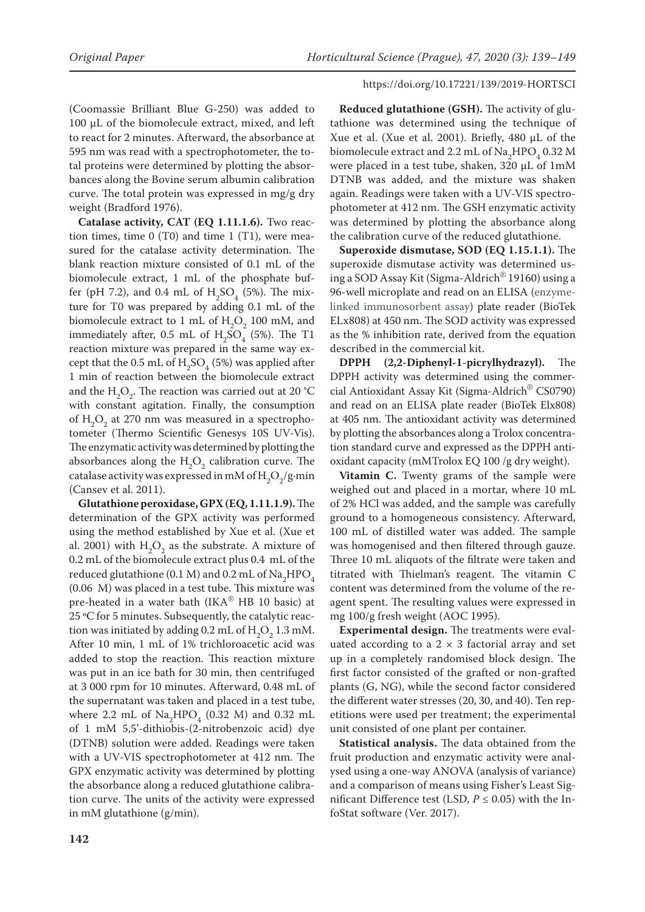(Coomassie Brilliant Blue G-250) was added to 100 µL of the biomolecule extract, mixed, and left to react for 2 minutes. Afterward, the absorbance at 595 nm was read with a spectrophotometer, the total proteins were determined by plotting the absorbances along the Bovine serum albumin calibration curve. The total protein was expressed in mg/g dry weight (Bradford 1976).

**Catalase activity, CAT (EQ 1.11.1.6).** Two reaction times, time  $0$  (T0) and time 1 (T1), were measured for the catalase activity determination. The blank reaction mixture consisted of 0.1 mL of the biomolecule extract, 1 mL of the phosphate buffer (pH 7.2), and 0.4 mL of  $H_2SO_4$  (5%). The mixture for T0 was prepared by adding 0.1 mL of the biomolecule extract to 1 mL of  $H_2O_2$  100 mM, and immediately after, 0.5 mL of  $H_2SO_4$  (5%). The T1 reaction mixture was prepared in the same way except that the 0.5 mL of  $H_2SO_4(5\%)$  was applied after 1 min of reaction between the biomolecule extract and the  $H_2O_2$ . The reaction was carried out at 20 °C with constant agitation. Finally, the consumption of  $H_2O_2$  at 270 nm was measured in a spectrophotometer (Thermo Scientific Genesys 10S UV-Vis). The enzymatic activity was determined by plotting the absorbances along the  $H_2O_2$  calibration curve. The catalase activity was expressed in mM of  $H_2O_2/g$  min (Cansev et al. 2011).

**Glutathione peroxidase, GPX (EQ, 1.11.1.9).** The determination of the GPX activity was performed using the method established by Xue et al. (Xue et al. 2001) with  $H_2O_2$  as the substrate. A mixture of 0.2 mL of the biomolecule extract plus 0.4 mL of the reduced glutathione (0.1 M) and 0.2 mL of  $\text{Na}_2\text{HPO}_4$ (0.06 M) was placed in a test tube. This mixture was pre-heated in a water bath (IKA<sup>®</sup> HB 10 basic) at 25 ºC for 5 minutes. Subsequently, the catalytic reaction was initiated by adding  $0.2 \text{ mL of } H_2O_2 1.3 \text{ mM.}$ After 10 min, 1 mL of 1% trichloroacetic acid was added to stop the reaction. This reaction mixture was put in an ice bath for 30 min, then centrifuged at 3 000 rpm for 10 minutes. Afterward, 0.48 mL of the supernatant was taken and placed in a test tube, where 2.2 mL of  $\text{Na}_2\text{HPO}_4$  (0.32 M) and 0.32 mL of 1 mM 5,5'-dithiobis-(2-nitrobenzoic acid) dye (DTNB) solution were added. Readings were taken with a UV-VIS spectrophotometer at 412 nm. The GPX enzymatic activity was determined by plotting the absorbance along a reduced glutathione calibration curve. The units of the activity were expressed in mM glutathione (g/min).

**Reduced glutathione (GSH).** The activity of glutathione was determined using the technique of Xue et al. (Xue et al. 2001). Briefly, 480 µL of the biomolecule extract and 2.2 mL of  $\text{Na}_2\text{HPO}_4$  0.32 M were placed in a test tube, shaken, 320 µL of 1mM DTNB was added, and the mixture was shaken again. Readings were taken with a UV-VIS spectrophotometer at 412 nm. The GSH enzymatic activity was determined by plotting the absorbance along the calibration curve of the reduced glutathione.

**Superoxide dismutase, SOD (EQ 1.15.1.1).** The superoxide dismutase activity was determined using a SOD Assay Kit (Sigma-Aldrich® 19160) using a 96-well microplate and read on an ELISA (enzymelinked immunosorbent assay) plate reader (BioTek ELx808) at 450 nm. The SOD activity was expressed as the % inhibition rate, derived from the equation described in the commercial kit.

**DPPH (2,2-Diphenyl-1-picrylhydrazyl).** The DPPH activity was determined using the commercial Antioxidant Assay Kit (Sigma-Aldrich® CS0790) and read on an ELISA plate reader (BioTek Elx808) at 405 nm. The antioxidant activity was determined by plotting the absorbances along a Trolox concentration standard curve and expressed as the DPPH antioxidant capacity (mMTrolox EQ 100 /g dry weight).

**Vitamin C.** Twenty grams of the sample were weighed out and placed in a mortar, where 10 mL of 2% HCl was added, and the sample was carefully ground to a homogeneous consistency. Afterward, 100 mL of distilled water was added. The sample was homogenised and then filtered through gauze. Three 10 mL aliquots of the filtrate were taken and titrated with Thielman's reagent. The vitamin C content was determined from the volume of the reagent spent. The resulting values were expressed in mg 100/g fresh weight (AOC 1995).

**Experimental design.** The treatments were evaluated according to a  $2 \times 3$  factorial array and set up in a completely randomised block design. The first factor consisted of the grafted or non-grafted plants (G, NG), while the second factor considered the different water stresses (20, 30, and 40). Ten repetitions were used per treatment; the experimental unit consisted of one plant per container.

**Statistical analysis.** The data obtained from the fruit production and enzymatic activity were analysed using a one-way ANOVA (analysis of variance) and a comparison of means using Fisher's Least Significant Difference test (LSD,  $P \le 0.05$ ) with the InfoStat software (Ver. 2017).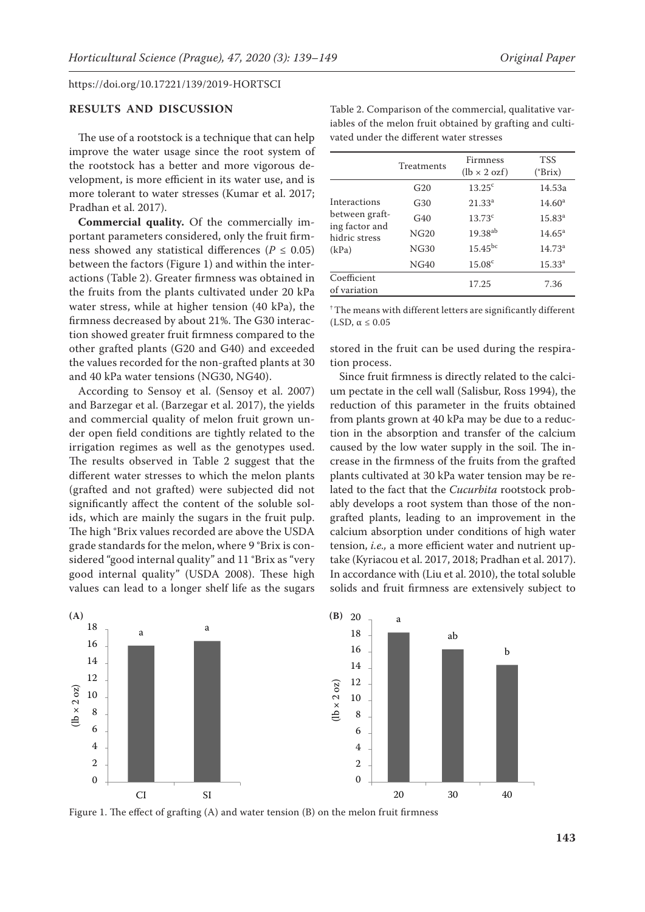## **RESULTS AND DISCUSSION**

The use of a rootstock is a technique that can help improve the water usage since the root system of the rootstock has a better and more vigorous development, is more efficient in its water use, and is more tolerant to water stresses (Kumar et al. 2017; Pradhan et al. 2017).

**Commercial quality.** Of the commercially important parameters considered, only the fruit firmness showed any statistical differences ( $P \leq 0.05$ ) between the factors (Figure 1) and within the interactions (Table 2). Greater firmness was obtained in the fruits from the plants cultivated under 20 kPa water stress, while at higher tension (40 kPa), the firmness decreased by about 21%. The G30 interaction showed greater fruit firmness compared to the other grafted plants (G20 and G40) and exceeded the values recorded for the non-grafted plants at 30 and 40 kPa water tensions (NG30, NG40).

According to Sensoy et al. (Sensoy et al. 2007) and Barzegar et al. (Barzegar et al. 2017), the yields and commercial quality of melon fruit grown under open field conditions are tightly related to the irrigation regimes as well as the genotypes used. The results observed in Table 2 suggest that the different water stresses to which the melon plants (grafted and not grafted) were subjected did not significantly affect the content of the soluble solids, which are mainly the sugars in the fruit pulp. The high °Brix values recorded are above the USDA grade standards for the melon, where 9 °Brix is considered "good internal quality" and 11 °Brix as "very good internal quality" (USDA 2008). These high values can lead to a longer shelf life as the sugars

Table 2. Comparison of the commercial, qualitative variables of the melon fruit obtained by grafting and cultivated under the different water stresses

|                                                                            | Treatments       | <b>Firmness</b><br>$(lb \times 2 \text{ ozf})$ | <b>TSS</b><br>$(^{\circ}Brix)$ |
|----------------------------------------------------------------------------|------------------|------------------------------------------------|--------------------------------|
|                                                                            | G20              | 13.25 <sup>c</sup>                             | 14.53a                         |
| Interactions<br>between graft-<br>ing factor and<br>hidric stress<br>(kPa) | G <sub>30</sub>  | $21.33^a$                                      | 14.60 <sup>a</sup>             |
|                                                                            | G40              | $13.73^{\circ}$                                | $15.83^{\circ}$                |
|                                                                            | NG <sub>20</sub> | 19.38 <sup>ab</sup>                            | $14.65^{\circ}$                |
|                                                                            | NG30             | $15.45^{bc}$                                   | $14.73^a$                      |
|                                                                            | NG40             | 15.08 <sup>c</sup>                             | $15.33^{a}$                    |
| Coefficient<br>of variation                                                |                  | 17.25                                          | 7.36                           |

† The means with different letters are significantly different (LSD,  $\alpha \leq 0.05$ 

stored in the fruit can be used during the respiration process.

Since fruit firmness is directly related to the calcium pectate in the cell wall (Salisbur, Ross 1994), the reduction of this parameter in the fruits obtained from plants grown at 40 kPa may be due to a reduction in the absorption and transfer of the calcium caused by the low water supply in the soil. The increase in the firmness of the fruits from the grafted plants cultivated at 30 kPa water tension may be related to the fact that the *Cucurbita* rootstock probably develops a root system than those of the nongrafted plants, leading to an improvement in the calcium absorption under conditions of high water tension, *i.e.*, a more efficient water and nutrient uptake (Kyriacou et al. 2017, 2018; Pradhan et al. 2017). In accordance with (Liu et al. 2010), the total soluble solids and fruit firmness are extensively subject to



Figure 1. The effect of grafting (A) and water tension (B) on the melon fruit firmness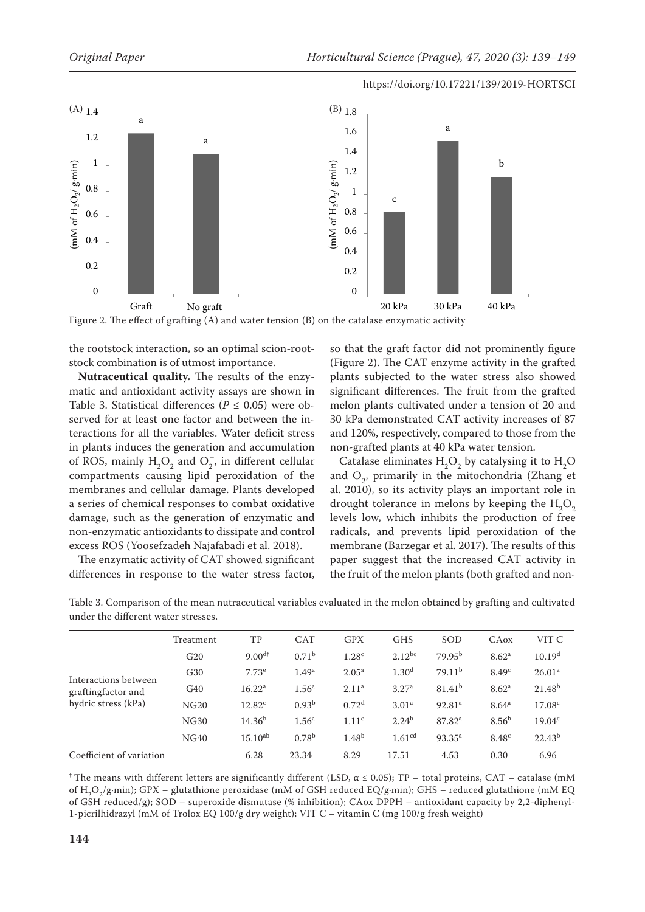

Figure 2. The effect of grafting (A) and water tension (B) on the catalase enzymatic activity

the rootstock interaction, so an optimal scion-root- so that the graft factor did not pro stock combination is of utmost importance.

**Nutraceutical quality.** The results of the enzymatic and antioxidant activity assays are shown in Table 3. Statistical differences ( $P \le 0.05$ ) were observed for at least one factor and between the interactions for all the variables. Water deficit stress in plants induces the generation and accumulation of ROS, mainly  $H_2O_2$  and  $O_2^-$ , in different cellular compartments causing lipid peroxidation of the membranes and cellular damage. Plants developed a series of chemical responses to combat oxidative damage, such as the generation of enzymatic and non-enzymatic antioxidants to dissipate and control 1 excess ROS (Yoosefzadeh Najafabadi et al. 2018).

The enzymatic activity of CAT showed significant differences in response to the water stress factor,

so that the graft factor did not prominently figure (Figure 2). The CAT enzyme activity in the grafted plants subjected to the water stress also showed significant differences. The fruit from the grafted melon plants cultivated under a tension of 20 and 30 kPa demonstrated CAT activity increases of 87 and 120%, respectively, compared to those from the non-grafted plants at 40 kPa water tension.

Catalase eliminates  $H_2O_2$  by catalysing it to  $H_2O$ and  $O_{2}$ , primarily in the mitochondria (Zhang et al. 2010), so its activity plays an important role in drought tolerance in melons by keeping the  $H_2O_2$ levels low, which inhibits the production of free radicals, and prevents lipid peroxidation of the membrane (Barzegar et al. 2017). The results of this paper suggest that the increased CAT activity in the fruit of the melon plants (both grafted and non-

|                                                                   | Treatment   | TP                 | <b>CAT</b>        | <b>GPX</b>        | <b>GHS</b>         | SOD                | CAOX              | VIT C              |
|-------------------------------------------------------------------|-------------|--------------------|-------------------|-------------------|--------------------|--------------------|-------------------|--------------------|
| Interactions between<br>graftingfactor and<br>hydric stress (kPa) | G20         | $9.00^{d}$         | 0.71 <sup>b</sup> | 1.28 <sup>c</sup> | $2.12^{bc}$        | 79.95 <sup>b</sup> | 8.62 <sup>a</sup> | 10.19 <sup>d</sup> |
|                                                                   | G30         | $7.73^e$           | 1.49 <sup>a</sup> | $2.05^{\rm a}$    | 1.30 <sup>d</sup>  | 79.11 <sup>b</sup> | 8.49 <sup>c</sup> | 26.01 <sup>a</sup> |
|                                                                   | G40         | 16.22 <sup>a</sup> | 1.56 <sup>a</sup> | 2.11 <sup>a</sup> | 3.27 <sup>a</sup>  | 81.41 <sup>b</sup> | 8.62 <sup>a</sup> | $21.48^{b}$        |
|                                                                   | <b>NG20</b> | 12.82 <sup>c</sup> | 0.93 <sup>b</sup> | 0.72 <sup>d</sup> | 3.01 <sup>a</sup>  | 92.81 <sup>a</sup> | 8.64 <sup>a</sup> | 17.08 <sup>c</sup> |
|                                                                   | <b>NG30</b> | 14.36 <sup>b</sup> | 1.56 <sup>a</sup> | 1.11 <sup>c</sup> | $2.24^{b}$         | 87.82 <sup>a</sup> | $8.56^{b}$        | 19.04 <sup>c</sup> |
|                                                                   | NG40        | $15.10^{ab}$       | $0.78^{b}$        | $1.48^{b}$        | 1.61 <sup>cd</sup> | $93.35^{\circ}$    | 8.48 <sup>c</sup> | $22.43^{b}$        |
| Coefficient of variation                                          |             | 6.28               | 23.34             | 8.29              | 17.51              | 4.53               | 0.30              | 6.96               |

Table 3. Comparison of the mean nutraceutical variables evaluated in the melon obtained by grafting and cultivated under the different water stresses.

<sup>†</sup> The means with different letters are significantly different (LSD,  $\alpha \le 0.05$ ); TP – total proteins, CAT – catalase (mM of H<sub>2</sub>O<sub>2</sub>/g·min); GPX – glutathione peroxidase (mM of GSH reduced EQ/g·min); GHS – reduced glutathione (mM EQ of GSH reduced/g); SOD – superoxide dismutase (% inhibition); CAox DPPH – antioxidant capacity by 2,2-diphenyl-1-picrilhidrazyl (mM of Trolox EQ 100/g dry weight); VIT C – vitamin C (mg 100/g fresh weight)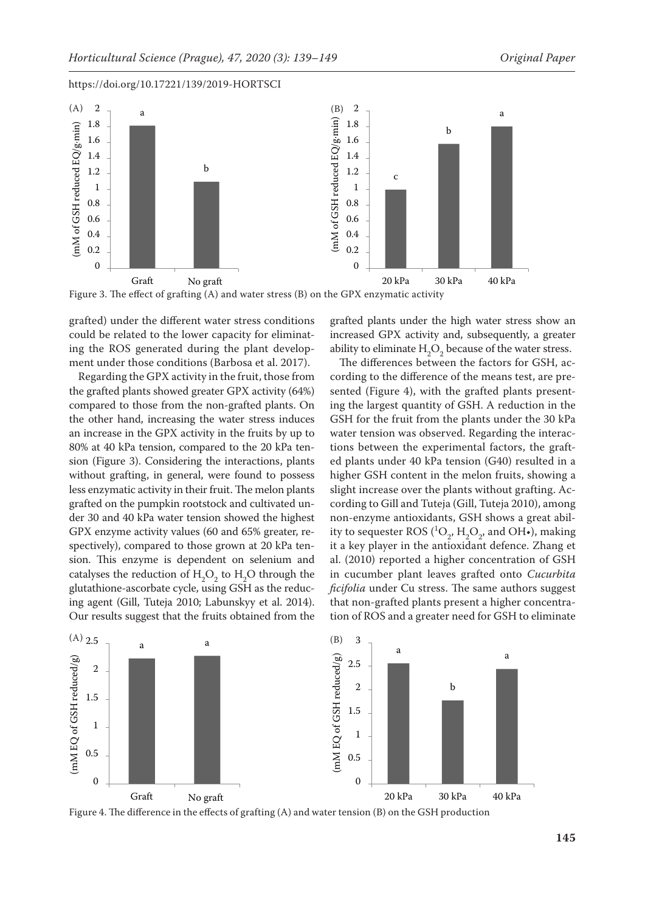

https://doi.org/10.17221/139/2019-HORTSCI

Figure 3. The effect of grafting (A) and water stress (B) on the GPX enzymatic activity

grafted) under the different water stress conditions could be related to the lower capacity for eliminat- increased GPX activity and, stress ing the ROS generated during the plant development under those conditions (Barbosa et al. 2017). 2

Regarding the GPX activity in the fruit, those from the grafted plants showed greater GPX activity (64%) compared to those from the non-grafted plants. On the other hand, increasing the water stress induces an increase in the GPX activity in the fruits by up to 80% at 40 kPa tension, compared to the 20 kPa ten-1 sion (Figure 3). Considering the interactions, plants without grafting, in general, were found to possess whilout gratting, in general, were found to possess grafted on the pumpkin rootstock and cultivated under 30 and 40 kPa water tension showed the highest GPX enzyme activity values (60 and 65% greater, respectively), compared to those grown at 20 kPa tension. This enzyme is dependent on selenium and catalyses the reduction of  $H_2O_2$  to  $H_2O$  through the in cucumber plant leaves graft glutathione-ascorbate cycle, using GSH as the reducgraduation ascorbate eyere, asing corr as the redde for grafting and red stress. The stress (Figure 3. The Separate of Gill, Tuteja 2010; Labunskyy et al. 2014). That non-grafted plants present Our results suggest that the fruits obtained from the ne<br>(01<br>he<br>and<br>ides<br>reduced the<br>
the<br>
an<br>
80<br>
sic<br>
wi<br>
les<br>
gra<br>
de

grafted plants under the high water stress show an increased GPX activity and, subsequently, a greater ability to eliminate  $H_2O_2$  because of the water stress.

The differences between the factors for GSH, according to the difference of the means test, are pre-3 a 2 sented (Figure 4), with the grafted plants presenting the largest quantity of GSH. A reduction in the GSH for the fruit from the plants under the 30 kPa water tension was observed. Regarding the interactions between the experimental factors, the grafted plants under 40 kPa tension (G40) resulted in a bigher GSH content in the melon fruits, showing a slight increase over the plants without grafting. According to Gill and Tuteja (Gill, Tuteja 2010), among non-enzyme antioxidants, GSH shows a great ability to sequester ROS ( ${}^{1}O_{2}$ , H<sub>2</sub>O<sub>2</sub>, and OH•), making it a key player in the antioxidant defence. Zhang et al. (2010) reported a higher concentration of GSH in cucumber plant leaves grafted onto *Cucurbita ficifolia* under Cu stress. The same authors suggest that non-grafted plants present a higher concentration of ROS and a greater need for GSH to eliminate  $\begin{array}{c} \mathbf{se} \\ \mathbf{in} \\ \mathbf{G} \end{array}$  which  $\begin{array}{c} \mathbf{e} \\ \mathbf{e} \\ \mathbf{e} \end{array}$  his contained  $\cdot$ . (oler<br>ng GS<br>wa io<br>id<br>ig<br>lig



Figure 4. The difference in the effects of grafting (A) and water tension (B) on the GSH production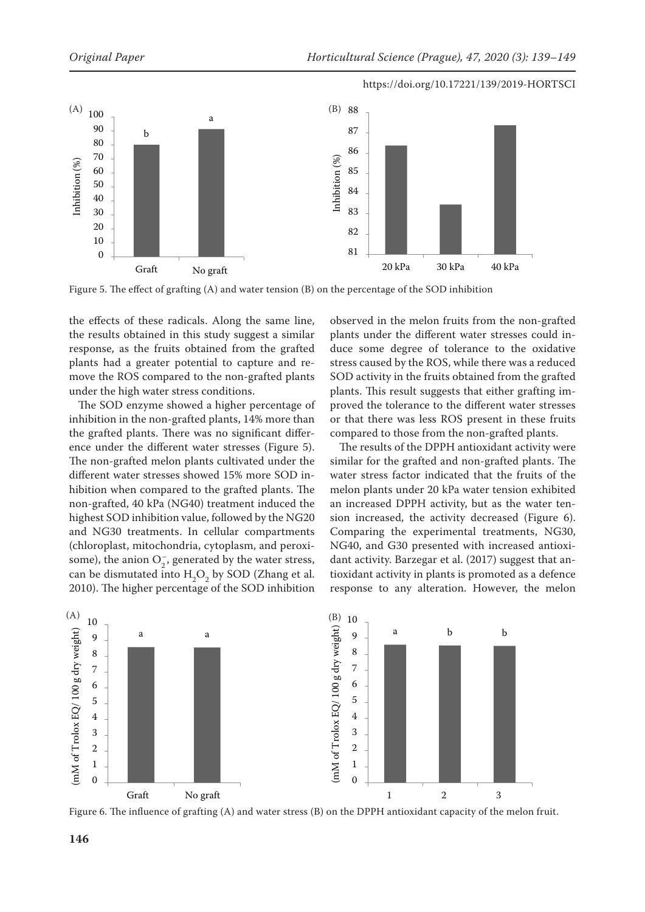

Figure 5. The effect of grafting (A) and water tension (B) on the percentage of the SOD inhibition

the effects of these radicals. Along the same line, the results obtained in this study suggest a similar response, as the fruits obtained from the grafted plants had a greater potential to capture and remove the ROS compared to the non-grafted plants under the high water stress conditions.

The SOD enzyme showed a higher percentage of inhibition in the non-grafted plants,  $14\%$  more than the grafted plants. There was no significant difference under the different water stresses (Figure 5). The non-grafted melon plants cultivated under the different water stresses showed 15% more SOD inhibition when compared to the grafted plants. The non-grafted, 40 kPa (NG40) treatment induced the highest SOD inhibition value, followed by the NG20 and NG30 treatments. In cellular compartments (chloroplast, mitochondria, cytoplasm, and peroxi- NG40, and G30 presented with some), the anion  $O_2^-$ , generated by the water stress, can be dismutated into  $H_2O_2$  by SOD (Zhang et al. 2010). The higher percentage of the SOD inhibition response to any alteration. However, nd T<br>hae mc<br>he iff ib or<br>ig nd In<br>ther

observed in the melon fruits from the non-grafted plants under the different water stresses could induce some degree of tolerance to the oxidative stress caused by the ROS, while there was a reduced SOD activity in the fruits obtained from the grafted plants. This result suggests that either grafting improved the tolerance to the different water stresses or that there was less ROS present in these fruits compared to those from the non-grafted plants. 84  $\overline{\phantom{a}}$ p<br>Ion<br>Co

The results of the DPPH antioxidant activity were similar for the grafted and non-grafted plants. The water stress factor indicated that the fruits of the melon plants under 20 kPa water tension exhibited 3 an increased DPPH activity, but as the water tension increased, the activity decreased (Figure 6). Comparing the experimental treatments, NG30, 0 NG40, and G30 presented with increased antioxidant activity. Barzegar et al. (2017) suggest that antioxidant activity in plants is promoted as a defence response to any alteration. However, the melon (m)<br>(m) or tor<br>(m) in wa me<br>(m) io Co



Figure 6. The influence of grafting (A) and water stress (B) on the DPPH antioxidant capacity of the melon fruit.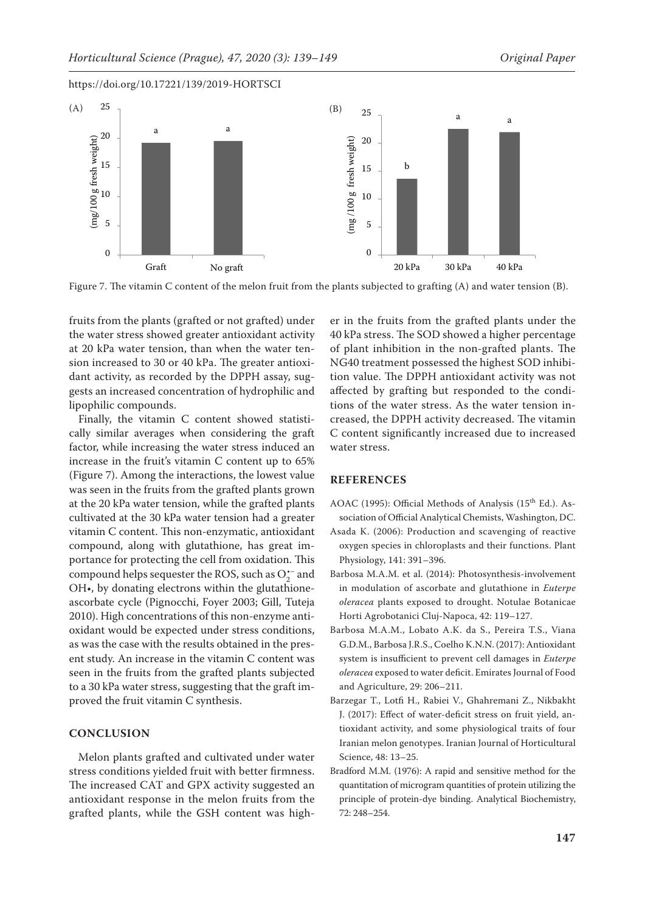

Figure 7. The vitamin C content of the melon fruit from the plants subjected to grafting (A) and water tension (B).

fruits from the plants (grafted or not grafted) under the water stress showed greater antioxidant activity at 20 kPa water tension, than when the water tension increased to 30 or 40 kPa. The greater antioxidant activity, as recorded by the DPPH assay, suggests an increased concentration of hydrophilic and lipophilic compounds.

Finally, the vitamin C content showed statistically similar averages when considering the graft factor, while increasing the water stress induced an increase in the fruit's vitamin C content up to 65% (Figure 7). Among the interactions, the lowest value was seen in the fruits from the grafted plants grown at the 20 kPa water tension, while the grafted plants cultivated at the 30 kPa water tension had a greater vitamin C content. This non-enzymatic, antioxidant compound, along with glutathione, has great importance for protecting the cell from oxidation. This compound helps sequester the ROS, such as  $O_2^{\bullet-}$  and OH•, by donating electrons within the glutathioneascorbate cycle (Pignocchi, Foyer 2003; Gill, Tuteja 2010). High concentrations of this non-enzyme antioxidant would be expected under stress conditions, as was the case with the results obtained in the present study. An increase in the vitamin C content was seen in the fruits from the grafted plants subjected to a 30 kPa water stress, suggesting that the graft improved the fruit vitamin C synthesis.

## **CONCLUSION**

Melon plants grafted and cultivated under water stress conditions yielded fruit with better firmness. The increased CAT and GPX activity suggested an antioxidant response in the melon fruits from the grafted plants, while the GSH content was high- $\overline{4}$ 

er in the fruits from the grafted plants under the 40 kPa stress. The SOD showed a higher percentage of plant inhibition in the non-grafted plants. The NG40 treatment possessed the highest SOD inhibition value. The DPPH antioxidant activity was not affected by grafting but responded to the conditions of the water stress. As the water tension increased, the DPPH activity decreased. The vitamin C content significantly increased due to increased water stress.

## **REFERENCES**

- AOAC (1995): Official Methods of Analysis (15<sup>th</sup> Ed.). Association of Official Analytical Chemists, Washington, DC.
- Asada K. (2006): Production and scavenging of reactive oxygen species in chloroplasts and their functions. Plant Physiology, 141: 391–396.
- Barbosa M.A.M. et al. (2014): Photosynthesis-involvement in modulation of ascorbate and glutathione in *Euterpe oleracea* plants exposed to drought. Notulae Botanicae Horti Agrobotanici Cluj-Napoca, 42: 119–127.
- Barbosa M.A.M., Lobato A.K. da S., Pereira T.S., Viana G.D.M., Barbosa J.R.S., Coelho K.N.N. (2017): Antioxidant system is insufficient to prevent cell damages in *Euterpe oleracea* exposed to water deficit. Emirates Journal of Food and Agriculture, 29: 206–211.
- Barzegar T., Lotfi H., Rabiei V., Ghahremani Z., Nikbakht J. (2017): Effect of water-deficit stress on fruit yield, antioxidant activity, and some physiological traits of four Iranian melon genotypes. Iranian Journal of Horticultural Science, 48: 13–25.
- Bradford M.M. (1976): A rapid and sensitive method for the quantitation of microgram quantities of protein utilizing the principle of protein-dye binding. Analytical Biochemistry, 72: 248–254.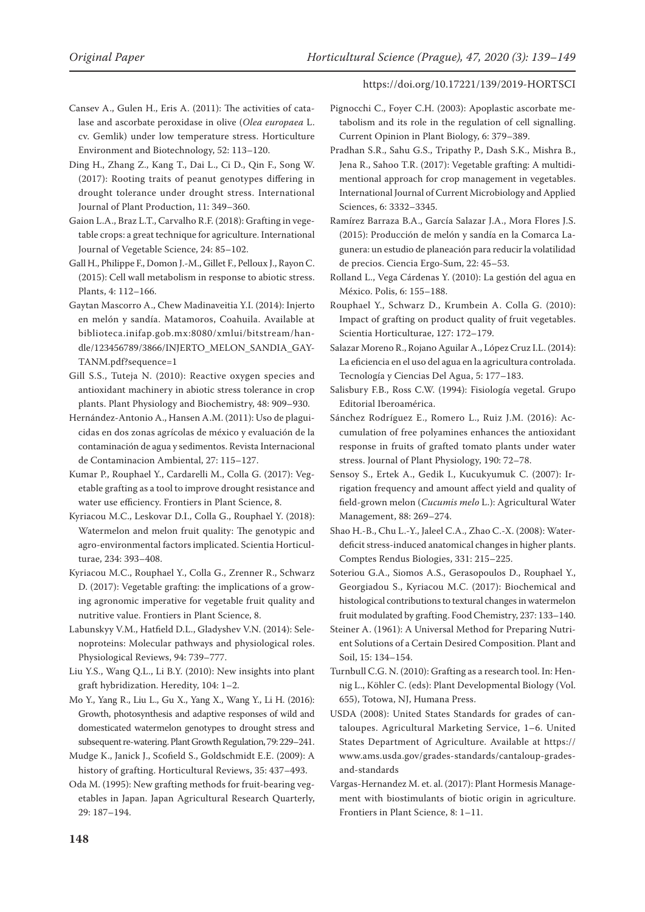- Cansev A., Gulen H., Eris A. (2011): The activities of catalase and ascorbate peroxidase in olive (*Olea europaea* L. cv. Gemlik) under low temperature stress. Horticulture Environment and Biotechnology, 52: 113–120.
- Ding H., Zhang Z., Kang T., Dai L., Ci D., Qin F., Song W. (2017): Rooting traits of peanut genotypes differing in drought tolerance under drought stress. International Journal of Plant Production, 11: 349–360.
- Gaion L.A., Braz L.T., Carvalho R.F. (2018): Grafting in vegetable crops: a great technique for agriculture. International Journal of Vegetable Science, 24: 85–102.
- Gall H., Philippe F., Domon J.-M., Gillet F., Pelloux J., Rayon C. (2015): Cell wall metabolism in response to abiotic stress. Plants, 4: 112–166.
- Gaytan Mascorro A., Chew Madinaveitia Y.I. (2014): Injerto en melón y sandía. Matamoros, Coahuila. Available at biblioteca.inifap.gob.mx:8080/xmlui/bitstream/handle/123456789/3866/INJERTO\_MELON\_SANDIA\_GAY-TANM.pdf?sequence=1
- Gill S.S., Tuteja N. (2010): Reactive oxygen species and antioxidant machinery in abiotic stress tolerance in crop plants. Plant Physiology and Biochemistry, 48: 909–930.
- Hernández-Antonio A., Hansen A.M. (2011): Uso de plaguicidas en dos zonas agrícolas de méxico y evaluación de la contaminación de agua y sedimentos. Revista Internacional de Contaminacion Ambiental, 27: 115–127.
- Kumar P., Rouphael Y., Cardarelli M., Colla G. (2017): Vegetable grafting as a tool to improve drought resistance and water use efficiency. Frontiers in Plant Science, 8.
- Kyriacou M.C., Leskovar D.I., Colla G., Rouphael Y. (2018): Watermelon and melon fruit quality: The genotypic and agro-environmental factors implicated. Scientia Horticulturae, 234: 393–408.
- Kyriacou M.C., Rouphael Y., Colla G., Zrenner R., Schwarz D. (2017): Vegetable grafting: the implications of a growing agronomic imperative for vegetable fruit quality and nutritive value. Frontiers in Plant Science, 8.
- Labunskyy V.M., Hatfield D.L., Gladyshev V.N. (2014): Selenoproteins: Molecular pathways and physiological roles. Physiological Reviews, 94: 739–777.
- Liu Y.S., Wang Q.L., Li B.Y. (2010): New insights into plant graft hybridization. Heredity, 104: 1–2.
- Mo Y., Yang R., Liu L., Gu X., Yang X., Wang Y., Li H. (2016): Growth, photosynthesis and adaptive responses of wild and domesticated watermelon genotypes to drought stress and subsequent re-watering. Plant Growth Regulation, 79: 229–241.
- Mudge K., Janick J., Scofield S., Goldschmidt E.E. (2009): A history of grafting. Horticultural Reviews, 35: 437–493.
- Oda M. (1995): New grafting methods for fruit-bearing vegetables in Japan. Japan Agricultural Research Quarterly, 29: 187–194.
- Pignocchi C., Foyer C.H. (2003): Apoplastic ascorbate metabolism and its role in the regulation of cell signalling. Current Opinion in Plant Biology, 6: 379–389.
- Pradhan S.R., Sahu G.S., Tripathy P., Dash S.K., Mishra B., Jena R., Sahoo T.R. (2017): Vegetable grafting: A multidimentional approach for crop management in vegetables. International Journal of Current Microbiology and Applied Sciences, 6: 3332–3345.
- Ramírez Barraza B.A., García Salazar J.A., Mora Flores J.S. (2015): Producción de melón y sandía en la Comarca Lagunera: un estudio de planeación para reducir la volatilidad de precios. Ciencia Ergo-Sum, 22: 45–53.
- Rolland L., Vega Cárdenas Y. (2010): La gestión del agua en México. Polis, 6: 155–188.
- Rouphael Y., Schwarz D., Krumbein A. Colla G. (2010): Impact of grafting on product quality of fruit vegetables. Scientia Horticulturae, 127: 172–179.
- Salazar Moreno R., Rojano Aguilar A., López Cruz I.L. (2014): La eficiencia en el uso del agua en la agricultura controlada. Tecnología y Ciencias Del Agua, 5: 177–183.
- Salisbury F.B., Ross C.W. (1994): Fisiología vegetal. Grupo Editorial Iberoamérica.
- Sánchez Rodríguez E., Romero L., Ruiz J.M. (2016): Accumulation of free polyamines enhances the antioxidant response in fruits of grafted tomato plants under water stress. Journal of Plant Physiology, 190: 72–78.
- Sensoy S., Ertek A., Gedik I., Kucukyumuk C. (2007): Irrigation frequency and amount affect yield and quality of field-grown melon (*Cucumis melo* L.): Agricultural Water Management, 88: 269–274.
- Shao H.-B., Chu L.-Y., Jaleel C.A., Zhao C.-X. (2008): Waterdeficit stress-induced anatomical changes in higher plants. Comptes Rendus Biologies, 331: 215–225.
- Soteriou G.A., Siomos A.S., Gerasopoulos D., Rouphael Y., Georgiadou S., Kyriacou M.C. (2017): Biochemical and histological contributions to textural changes in watermelon fruit modulated by grafting. Food Chemistry, 237: 133–140.
- Steiner A. (1961): A Universal Method for Preparing Nutrient Solutions of a Certain Desired Composition. Plant and Soil, 15: 134–154.
- Turnbull C.G. N. (2010): Grafting as a research tool. In: Hennig L., Köhler C. (eds): Plant Developmental Biology (Vol. 655), Totowa, NJ, Humana Press.
- USDA (2008): United States Standards for grades of cantaloupes. Agricultural Marketing Service, 1–6. United States Department of Agriculture. Available at https:// www.ams.usda.gov/grades-standards/cantaloup-gradesand-standards
- Vargas-Hernandez M. et. al. (2017): Plant Hormesis Management with biostimulants of biotic origin in agriculture. Frontiers in Plant Science, 8: 1–11.